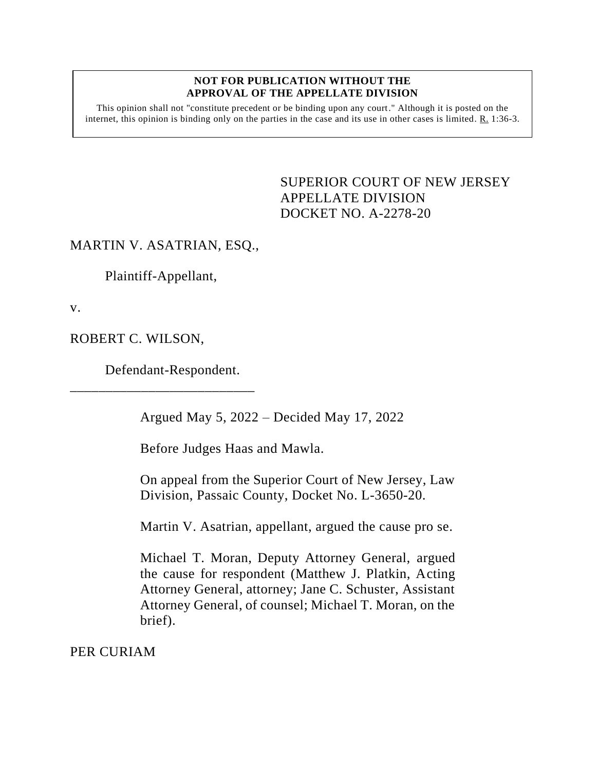## **NOT FOR PUBLICATION WITHOUT THE APPROVAL OF THE APPELLATE DIVISION**

This opinion shall not "constitute precedent or be binding upon any court." Although it is posted on the internet, this opinion is binding only on the parties in the case and its use in other cases is limited.  $R_1$  1:36-3.

> <span id="page-0-0"></span>SUPERIOR COURT OF NEW JERSEY APPELLATE DIVISION DOCKET NO. A-2278-20

## MARTIN V. ASATRIAN, ESQ.,

Plaintiff-Appellant,

v.

ROBERT C. WILSON,

Defendant-Respondent.

\_\_\_\_\_\_\_\_\_\_\_\_\_\_\_\_\_\_\_\_\_\_\_\_\_\_

Argued May 5, 2022 – Decided May 17, 2022

Before Judges Haas and Mawla.

On appeal from the Superior Court of New Jersey, Law Division, Passaic County, Docket No. L-3650-20.

Martin V. Asatrian, appellant, argued the cause pro se.

Michael T. Moran, Deputy Attorney General, argued the cause for respondent (Matthew J. Platkin, Acting Attorney General, attorney; Jane C. Schuster, Assistant Attorney General, of counsel; Michael T. Moran, on the brief).

PER CURIAM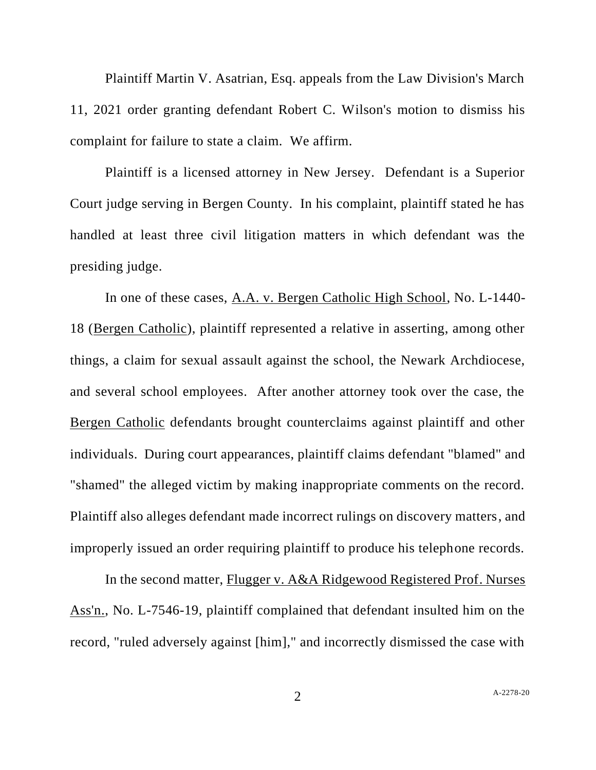Plaintiff Martin V. Asatrian, Esq. appeals from the Law Division's March 11, 2021 order granting defendant Robert C. Wilson's motion to dismiss his complaint for failure to state a claim. We affirm.

Plaintiff is a licensed attorney in New Jersey. Defendant is a Superior Court judge serving in Bergen County. In his complaint, plaintiff stated he has handled at least three civil litigation matters in which defendant was the presiding judge.

In one of these cases, A.A. v. Bergen Catholic High School, No. L-1440- 18 (Bergen Catholic), plaintiff represented a relative in asserting, among other things, a claim for sexual assault against the school, the Newark Archdiocese, and several school employees. After another attorney took over the case, the Bergen Catholic defendants brought counterclaims against plaintiff and other individuals. During court appearances, plaintiff claims defendant "blamed" and "shamed" the alleged victim by making inappropriate comments on the record. Plaintiff also alleges defendant made incorrect rulings on discovery matters, and improperly issued an order requiring plaintiff to produce his telephone records.

In the second matter, Flugger v. A&A Ridgewood Registered Prof. Nurses Ass'n., No. L-7546-19, plaintiff complained that defendant insulted him on the record, "ruled adversely against [him]," and incorrectly dismissed the case with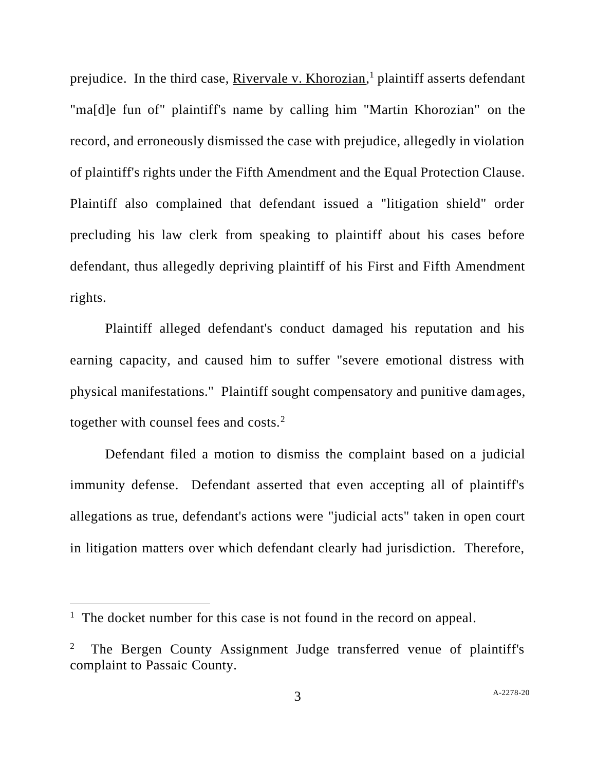prejudice. In the third case, *Rivervale v. Khorozian*,<sup>1</sup> plaintiff asserts defendant "ma[d]e fun of" plaintiff's name by calling him "Martin Khorozian" on the record, and erroneously dismissed the case with prejudice, allegedly in violation of plaintiff's rights under the Fifth Amendment and the Equal Protection Clause. Plaintiff also complained that defendant issued a "litigation shield" order precluding his law clerk from speaking to plaintiff about his cases before defendant, thus allegedly depriving plaintiff of his First and Fifth Amendment rights.

Plaintiff alleged defendant's conduct damaged his reputation and his earning capacity, and caused him to suffer "severe emotional distress with physical manifestations." Plaintiff sought compensatory and punitive damages, together with counsel fees and costs.<sup>2</sup>

Defendant filed a motion to dismiss the complaint based on a judicial immunity defense. Defendant asserted that even accepting all of plaintiff's allegations as true, defendant's actions were "judicial acts" taken in open court in litigation matters over which defendant clearly had jurisdiction. Therefore,

<sup>&</sup>lt;sup>1</sup> The docket number for this case is not found in the record on appeal.

<sup>2</sup> The Bergen County Assignment Judge transferred venue of plaintiff's complaint to Passaic County.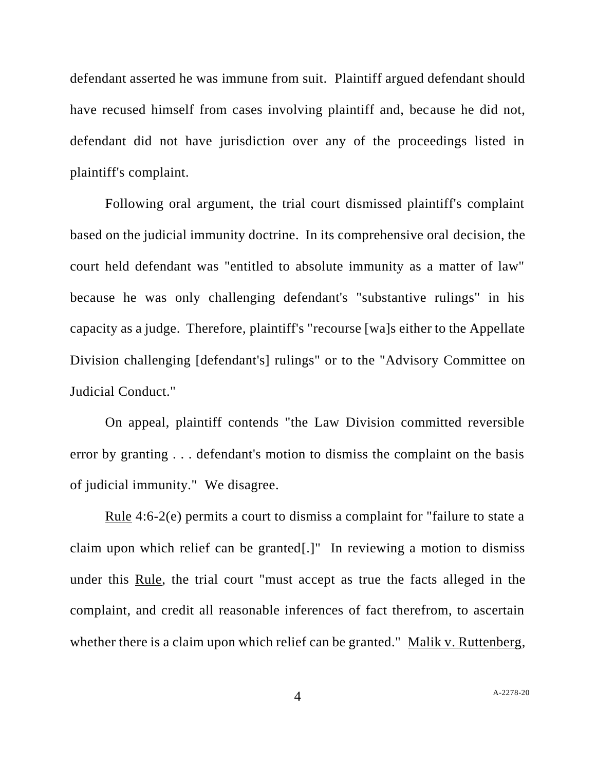defendant asserted he was immune from suit. Plaintiff argued defendant should have recused himself from cases involving plaintiff and, because he did not, defendant did not have jurisdiction over any of the proceedings listed in plaintiff's complaint.

Following oral argument, the trial court dismissed plaintiff's complaint based on the judicial immunity doctrine. In its comprehensive oral decision, the court held defendant was "entitled to absolute immunity as a matter of law" because he was only challenging defendant's "substantive rulings" in his capacity as a judge. Therefore, plaintiff's "recourse [wa]s either to the Appellate Division challenging [defendant's] rulings" or to the "Advisory Committee on Judicial Conduct."

On appeal, plaintiff contends "the Law Division committed reversible error by granting . . . defendant's motion to dismiss the complaint on the basis of judicial immunity." We disagree.

Rule 4:6-2(e) permits a court to dismiss a complaint for "failure to state a claim upon which relief can be granted[.]" In reviewing a motion to dismiss under this Rule, the trial court "must accept as true the facts alleged in the complaint, and credit all reasonable inferences of fact therefrom, to ascertain whether there is a claim upon which relief can be granted." Malik v. Ruttenberg,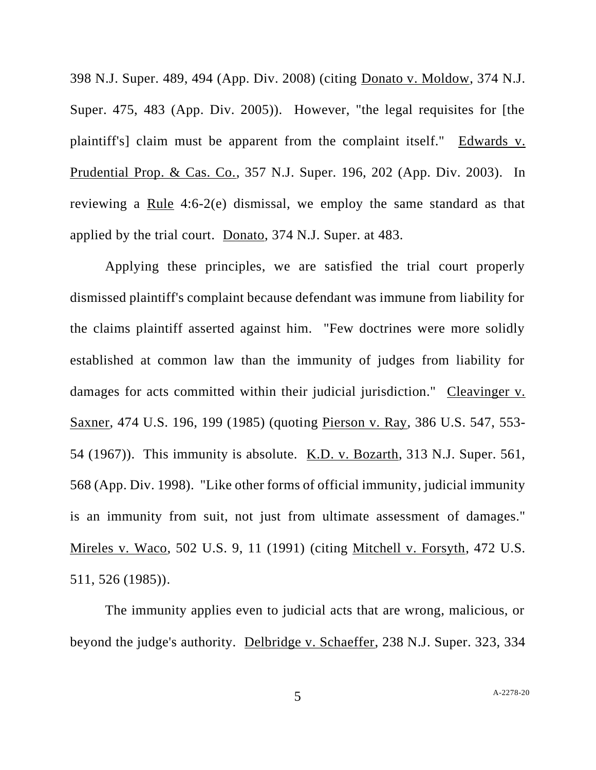398 N.J. Super. 489, 494 (App. Div. 2008) (citing Donato v. Moldow, 374 N.J. Super. 475, 483 (App. Div. 2005)). However, "the legal requisites for [the plaintiff's] claim must be apparent from the complaint itself." Edwards v. Prudential Prop. & Cas. Co., 357 N.J. Super. 196, 202 (App. Div. 2003). In reviewing a Rule 4:6-2(e) dismissal, we employ the same standard as that applied by the trial court. Donato, 374 N.J. Super. at 483.

Applying these principles, we are satisfied the trial court properly dismissed plaintiff's complaint because defendant was immune from liability for the claims plaintiff asserted against him. "Few doctrines were more solidly established at common law than the immunity of judges from liability for damages for acts committed within their judicial jurisdiction." Cleavinger v. Saxner, 474 U.S. 196, 199 (1985) (quoting Pierson v. Ray, 386 U.S. 547, 553- 54 (1967)). This immunity is absolute. K.D. v. Bozarth, 313 N.J. Super. 561, 568 (App. Div. 1998). "Like other forms of official immunity, judicial immunity is an immunity from suit, not just from ultimate assessment of damages." Mireles v. Waco, 502 U.S. 9, 11 (1991) (citing Mitchell v. Forsyth, 472 U.S. 511, 526 (1985)).

The immunity applies even to judicial acts that are wrong, malicious, or beyond the judge's authority. Delbridge v. Schaeffer, 238 N.J. Super. 323, 334

5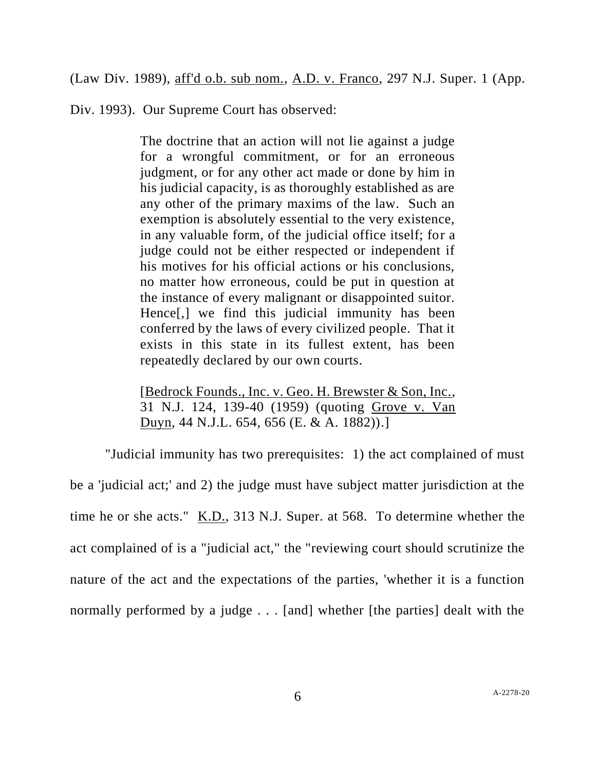(Law Div. 1989), aff'd o.b. sub nom., A.D. v. Franco, 297 N.J. Super. 1 (App.

Div. 1993). Our Supreme Court has observed:

The doctrine that an action will not lie against a judge for a wrongful commitment, or for an erroneous judgment, or for any other act made or done by him in his judicial capacity, is as thoroughly established as are any other of the primary maxims of the law. Such an exemption is absolutely essential to the very existence, in any valuable form, of the judicial office itself; for a judge could not be either respected or independent if his motives for his official actions or his conclusions, no matter how erroneous, could be put in question at the instance of every malignant or disappointed suitor. Hence[,] we find this judicial immunity has been conferred by the laws of every civilized people. That it exists in this state in its fullest extent, has been repeatedly declared by our own courts.

[Bedrock Founds., Inc. v. Geo. H. Brewster & Son, Inc., 31 N.J. 124, 139-40 (1959) (quoting Grove v. Van Duyn, 44 N.J.L. 654, 656 (E. & A. 1882)).]

"Judicial immunity has two prerequisites: 1) the act complained of must be a 'judicial act;' and 2) the judge must have subject matter jurisdiction at the time he or she acts." K.D., 313 N.J. Super. at 568. To determine whether the act complained of is a "judicial act," the "reviewing court should scrutinize the nature of the act and the expectations of the parties, 'whether it is a function normally performed by a judge . . . [and] whether [the parties] dealt with the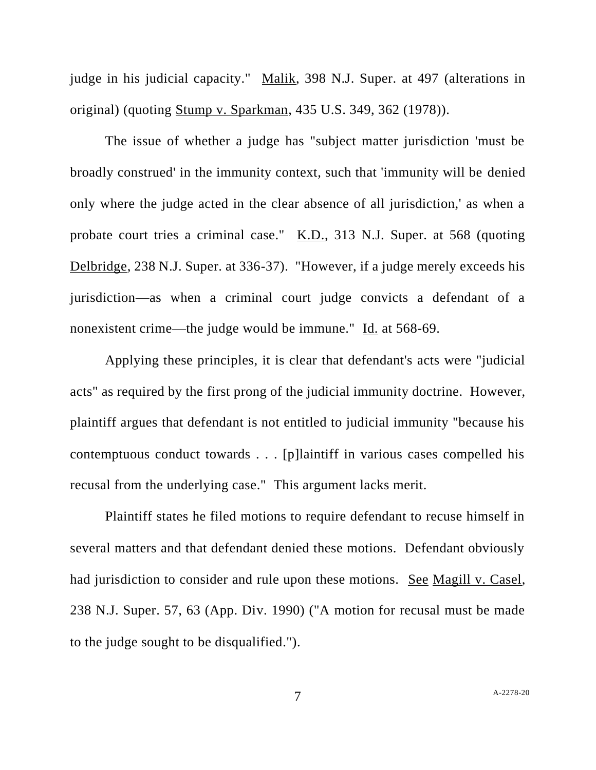judge in his judicial capacity." Malik, 398 N.J. Super. at 497 (alterations in original) (quoting Stump v. Sparkman, 435 U.S. 349, 362 (1978)).

The issue of whether a judge has "subject matter jurisdiction 'must be broadly construed' in the immunity context, such that 'immunity will be denied only where the judge acted in the clear absence of all jurisdiction,' as when a probate court tries a criminal case." K.D., 313 N.J. Super. at 568 (quoting Delbridge, 238 N.J. Super. at 336-37). "However, if a judge merely exceeds his jurisdiction—as when a criminal court judge convicts a defendant of a nonexistent crime—the judge would be immune." Id. at 568-69.

Applying these principles, it is clear that defendant's acts were "judicial acts" as required by the first prong of the judicial immunity doctrine. However, plaintiff argues that defendant is not entitled to judicial immunity "because his contemptuous conduct towards . . . [p]laintiff in various cases compelled his recusal from the underlying case." This argument lacks merit.

Plaintiff states he filed motions to require defendant to recuse himself in several matters and that defendant denied these motions. Defendant obviously had jurisdiction to consider and rule upon these motions. See Magill v. Casel, 238 N.J. Super. 57, 63 (App. Div. 1990) ("A motion for recusal must be made to the judge sought to be disqualified.").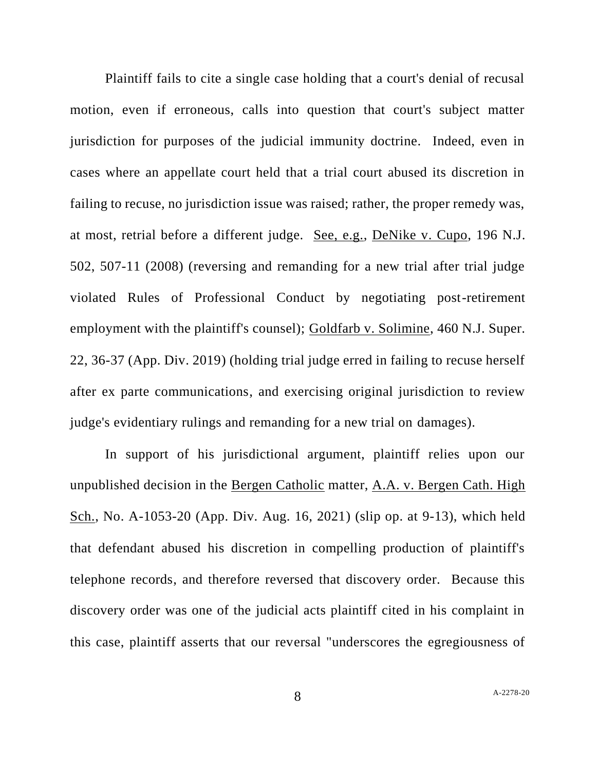Plaintiff fails to cite a single case holding that a court's denial of recusal motion, even if erroneous, calls into question that court's subject matter jurisdiction for purposes of the judicial immunity doctrine. Indeed, even in cases where an appellate court held that a trial court abused its discretion in failing to recuse, no jurisdiction issue was raised; rather, the proper remedy was, at most, retrial before a different judge. See, e.g., DeNike v. Cupo, 196 N.J. 502, 507-11 (2008) (reversing and remanding for a new trial after trial judge violated Rules of Professional Conduct by negotiating post-retirement employment with the plaintiff's counsel); Goldfarb v. Solimine, 460 N.J. Super. 22, 36-37 (App. Div. 2019) (holding trial judge erred in failing to recuse herself after ex parte communications, and exercising original jurisdiction to review judge's evidentiary rulings and remanding for a new trial on damages).

In support of his jurisdictional argument, plaintiff relies upon our unpublished decision in the Bergen Catholic matter, A.A. v. Bergen Cath. High Sch., No. A-1053-20 (App. Div. Aug. 16, 2021) (slip op. at 9-13), which held that defendant abused his discretion in compelling production of plaintiff's telephone records, and therefore reversed that discovery order. Because this discovery order was one of the judicial acts plaintiff cited in his complaint in this case, plaintiff asserts that our reversal "underscores the egregiousness of